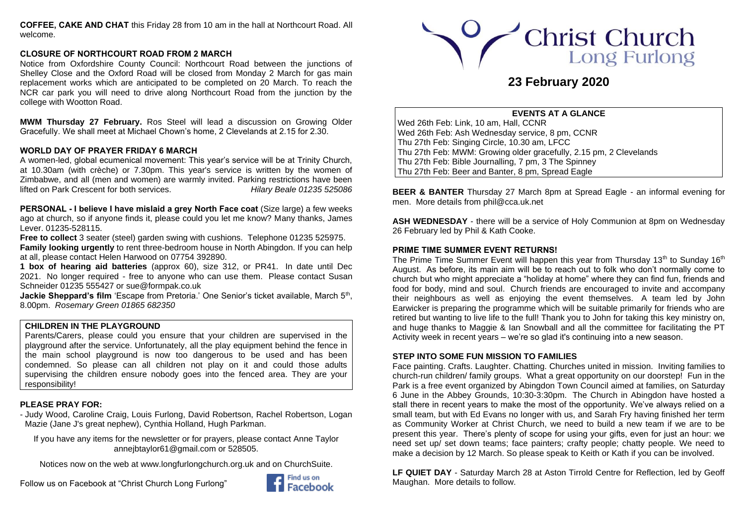**COFFEE, CAKE AND CHAT** this Friday 28 from 10 am in the hall at Northcourt Road. All welcome.

# **CLOSURE OF NORTHCOURT ROAD FROM 2 MARCH**

Notice from Oxfordshire County Council: Northcourt Road between the junctions of Shelley Close and the Oxford Road will be closed from Monday 2 March for gas main replacement works which are anticipated to be completed on 20 March. To reach the NCR car park you will need to drive along Northcourt Road from the junction by the college with Wootton Road.

**MWM Thursday 27 February.** Ros Steel will lead a discussion on Growing Older Gracefully. We shall meet at Michael Chown's home, 2 Clevelands at 2.15 for 2.30.

# **WORLD DAY OF PRAYER FRIDAY 6 MARCH**

A women-led, global ecumenical movement: This year's service will be at Trinity Church, at 10.30am (with crèche) or 7.30pm. This year's service is written by the women of Zimbabwe, and all (men and women) are warmly invited. Parking restrictions have been lifted on Park Crescent for both services. *Hilary Beale 01235 525086*

**PERSONAL - I believe I have mislaid a grey North Face coat** (Size large) a few weeks ago at church, so if anyone finds it, please could you let me know? Many thanks, James Lever. 01235-528115.

**Free to collect** 3 seater (steel) garden swing with cushions. Telephone 01235 525975. **Family looking urgently** to rent three-bedroom house in North Abingdon. If you can help at all, please contact Helen Harwood on 07754 392890.

**1 box of hearing aid batteries** (approx 60), size 312, or PR41. In date until Dec 2021. No longer required - free to anyone who can use them. Please contact Susan Schneider 01235 555427 or [sue@formpak.co.uk](mailto:sue@formpak.co.uk)

**Jackie Sheppard's film** 'Escape from Pretoria.' One Senior's ticket available, March 5<sup>th</sup>, 8.00pm. *Rosemary Green 01865 682350*

# **CHILDREN IN THE PLAYGROUND**

Parents/Carers, please could you ensure that your children are supervised in the playground after the service. Unfortunately, all the play equipment behind the fence in the main school playground is now too dangerous to be used and has been condemned. So please can all children not play on it and could those adults supervising the children ensure nobody goes into the fenced area. They are your responsibility!

# **PLEASE PRAY FOR:**

- Judy Wood, Caroline Craig, Louis Furlong, David Robertson, Rachel Robertson, Logan Mazie (Jane J's great nephew), Cynthia Holland, Hugh Parkman.

If you have any items for the newsletter or for prayers, please contact Anne Taylor anneibtaylor61@gmail.com or 528505.

Notices now on the web at [www.longfurlongchurch.org.uk](http://www.longfurlongchurch.org.uk/) and on ChurchSuite.

Follow us on Facebook at "Christ Church Long Furlong"





# **23 February 2020**

## **EVENTS AT A GLANCE**

Wed 26th Feb: Link, 10 am, Hall, CCNR Wed 26th Feb: Ash Wednesday service, 8 pm, CCNR Thu 27th Feb: Singing Circle, 10.30 am, LFCC Thu 27th Feb: MWM: Growing older gracefully, 2.15 pm, 2 Clevelands Thu 27th Feb: Bible Journalling, 7 pm, 3 The Spinney Thu 27th Feb: Beer and Banter, 8 pm, Spread Eagle

**BEER & BANTER** Thursday 27 March 8pm at Spread Eagle - an informal evening for men. More details from [phil@cca.uk.net](mailto:phil@cca.uk.net)

**ASH WEDNESDAY** - there will be a service of Holy Communion at 8pm on Wednesday 26 February led by Phil & Kath Cooke.

# **PRIME TIME SUMMER EVENT RETURNS!**

The Prime Time Summer Event will happen this year from Thursday  $13<sup>th</sup>$  to Sunday  $16<sup>th</sup>$ August. As before, its main aim will be to reach out to folk who don't normally come to church but who might appreciate a "holiday at home" where they can find fun, friends and food for body, mind and soul. Church friends are encouraged to invite and accompany their neighbours as well as enjoying the event themselves. A team led by John Earwicker is preparing the programme which will be suitable primarily for friends who are retired but wanting to live life to the full! Thank you to John for taking this key ministry on, and huge thanks to Maggie & Ian Snowball and all the committee for facilitating the PT Activity week in recent years – we're so glad it's continuing into a new season.

## **STEP INTO SOME FUN MISSION TO FAMILIES**

Face painting. Crafts. Laughter. Chatting. Churches united in mission. Inviting families to church-run children/ family groups. What a great opportunity on our doorstep! Fun in the Park is a free event organized by Abingdon Town Council aimed at families, on Saturday 6 June in the Abbey Grounds, 10:30-3:30pm. The Church in Abingdon have hosted a stall there in recent years to make the most of the opportunity. We've always relied on a small team, but with Ed Evans no longer with us, and Sarah Fry having finished her term as Community Worker at Christ Church, we need to build a new team if we are to be present this year. There's plenty of scope for using your gifts, even for just an hour: we need set up/ set down teams; face painters; crafty people; chatty people. We need to make a decision by 12 March. So please speak to Keith or Kath if you can be involved.

**LF QUIET DAY** - Saturday March 28 at Aston Tirrold Centre for Reflection, led by Geoff Maughan. More details to follow.